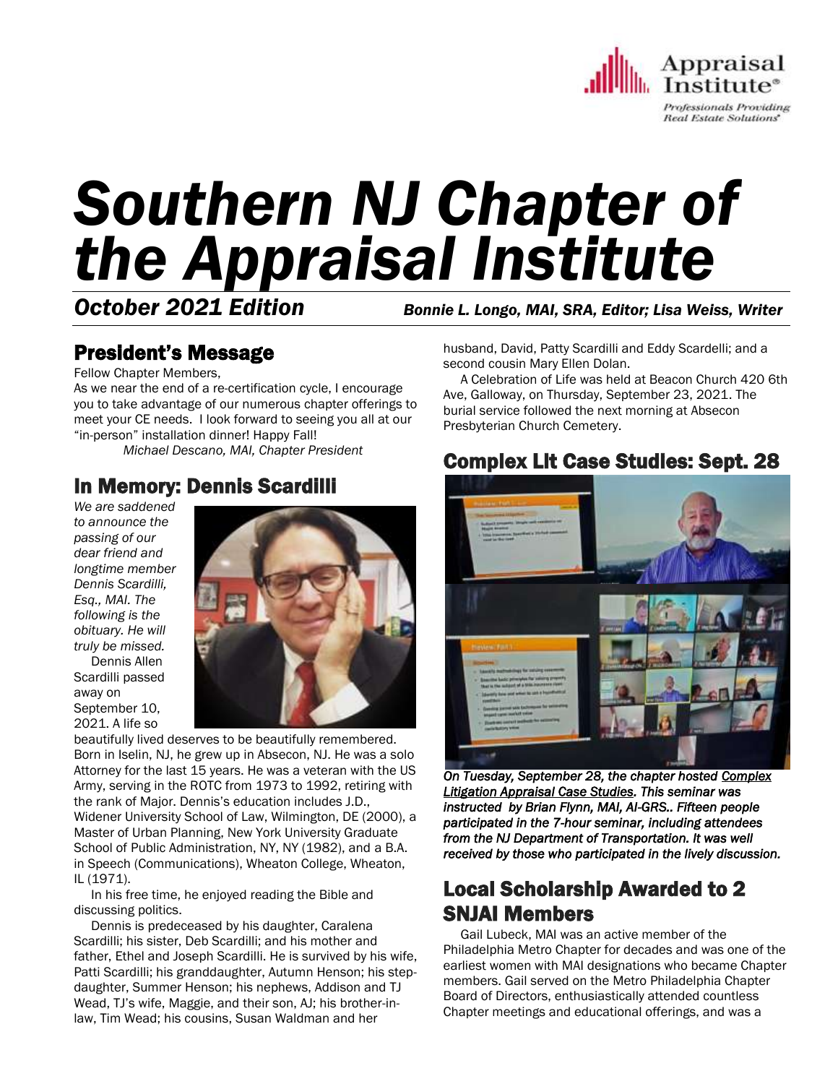

# *Southern NJ Chapter of the Appraisal Institute*

*October 2021 Edition Bonnie L. Longo, MAI, SRA, Editor; Lisa Weiss, Writer*

# President's Message

Fellow Chapter Members,

As we near the end of a re-certification cycle, I encourage you to take advantage of our numerous chapter offerings to meet your CE needs. I look forward to seeing you all at our "in-person" installation dinner! Happy Fall!

*Michael Descano, MAI, Chapter President*

## In Memory: Dennis Scardilli

*We are saddened to announce the passing of our dear friend and longtime member Dennis Scardilli, Esq., MAI. The following is the obituary. He will truly be missed.*

 Dennis Allen Scardilli passed away on September 10, 2021. A life so



beautifully lived deserves to be beautifully remembered. Born in Iselin, NJ, he grew up in Absecon, NJ. He was a solo Attorney for the last 15 years. He was a veteran with the US Army, serving in the ROTC from 1973 to 1992, retiring with the rank of Major. Dennis's education includes J.D., Widener University School of Law, Wilmington, DE (2000), a Master of Urban Planning, New York University Graduate School of Public Administration, NY, NY (1982), and a B.A. in Speech (Communications), Wheaton College, Wheaton, IL (1971).

 In his free time, he enjoyed reading the Bible and discussing politics.

 Dennis is predeceased by his daughter, Caralena Scardilli; his sister, Deb Scardilli; and his mother and father, Ethel and Joseph Scardilli. He is survived by his wife, Patti Scardilli; his granddaughter, Autumn Henson; his stepdaughter, Summer Henson; his nephews, Addison and TJ Wead, TJ's wife, Maggie, and their son, AJ; his brother-inlaw, Tim Wead; his cousins, Susan Waldman and her

husband, David, Patty Scardilli and Eddy Scardelli; and a second cousin Mary Ellen Dolan.

 A Celebration of Life was held at Beacon Church 420 6th Ave, Galloway, on Thursday, September 23, 2021. The burial service followed the next morning at Absecon Presbyterian Church Cemetery.

## Complex Lit Case Studies: Sept. 28



*On Tuesday, September 28, the chapter hosted Complex Litigation Appraisal Case Studies. This seminar was instructed by Brian Flynn, MAI, AI-GRS.. Fifteen people participated in the 7-hour seminar, including attendees from the NJ Department of Transportation. It was well received by those who participated in the lively discussion.* 

## Local Scholarship Awarded to 2 SNJAI Members

 Gail Lubeck, MAI was an active member of the Philadelphia Metro Chapter for decades and was one of the earliest women with MAI designations who became Chapter members. Gail served on the Metro Philadelphia Chapter Board of Directors, enthusiastically attended countless Chapter meetings and educational offerings, and was a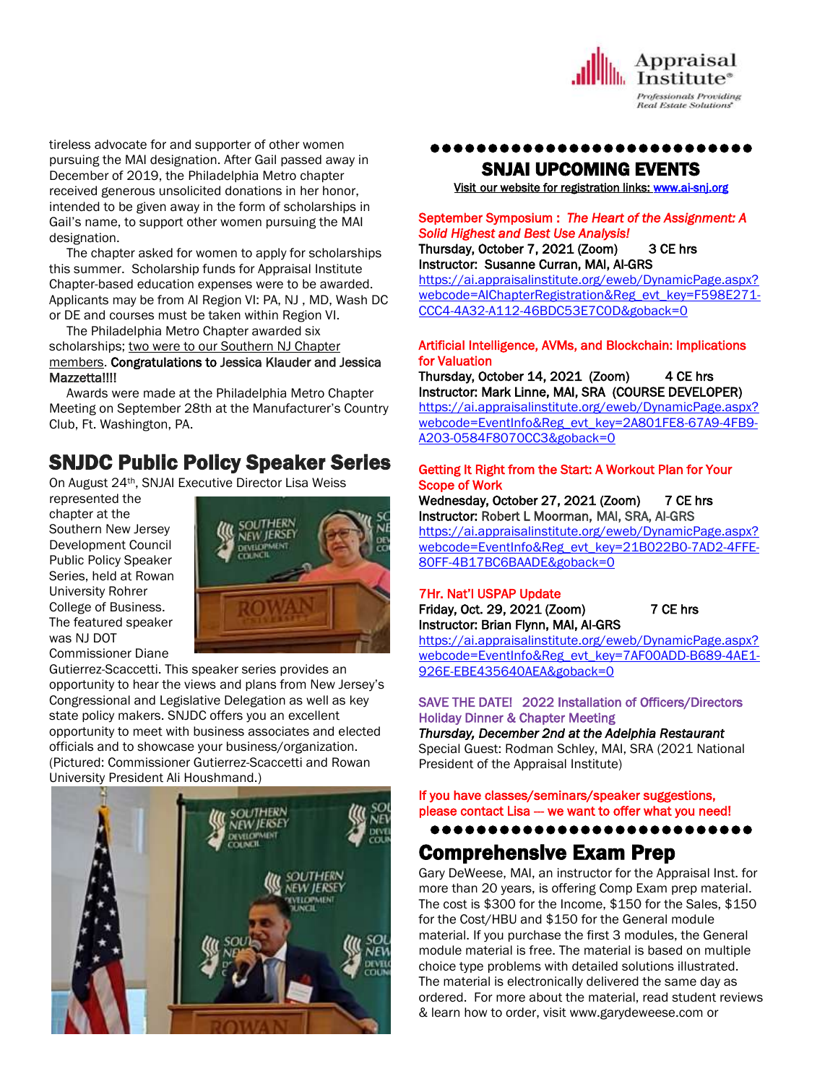

tireless advocate for and supporter of other women pursuing the MAI designation. After Gail passed away in December of 2019, the Philadelphia Metro chapter received generous unsolicited donations in her honor, intended to be given away in the form of scholarships in Gail's name, to support other women pursuing the MAI designation.

 The chapter asked for women to apply for scholarships this summer. Scholarship funds for Appraisal Institute Chapter-based education expenses were to be awarded. Applicants may be from AI Region VI: PA, NJ , MD, Wash DC or DE and courses must be taken within Region VI.

 The Philadelphia Metro Chapter awarded six scholarships; two were to our Southern NJ Chapter members. Congratulations to Jessica Klauder and Jessica Mazzetta!!!!

 Awards were made at the Philadelphia Metro Chapter Meeting on September 28th at the Manufacturer's Country Club, Ft. Washington, PA.

## SNJDC Public Policy Speaker Series

On August 24th, SNJAI Executive Director Lisa Weiss

represented the chapter at the Southern New Jersey Development Council Public Policy Speaker Series, held at Rowan University Rohrer College of Business. The featured speaker was NJ DOT Commissioner Diane



Gutierrez-Scaccetti. This speaker series provides an opportunity to hear the views and plans from New Jersey's Congressional and Legislative Delegation as well as key state policy makers. SNJDC offers you an excellent opportunity to meet with business associates and elected officials and to showcase your business/organization. (Pictured: Commissioner Gutierrez-Scaccetti and Rowan University President Ali Houshmand.)



## ●●●●●●●●●●●●●●●●●●●●●●●●●●●●

## SNJAI UPCOMING EVENTS

[Visit](http://www.myappraisalinstitute.org/education/southernNewJersey) our website for registration links[: www.ai-snj.org](http://www.ai-snj.org/) 

## September Symposium : *The Heart of the Assignment: A Solid Highest and Best Use Analysis!*

Thursday, October 7, 2021 (Zoom) 3 CE hrs Instructor: Susanne Curran, MAI, AI-GRS

[https://ai.appraisalinstitute.org/eweb/DynamicPage.aspx?](https://ai.appraisalinstitute.org/eweb/DynamicPage.aspx?webcode=AIChapterRegistration&Reg_evt_key=F598E271-CCC4-4A32-A112-46BDC53E7C0D&goback=0) [webcode=AIChapterRegistration&Reg\\_evt\\_key=F598E271-](https://ai.appraisalinstitute.org/eweb/DynamicPage.aspx?webcode=AIChapterRegistration&Reg_evt_key=F598E271-CCC4-4A32-A112-46BDC53E7C0D&goback=0) [CCC4-4A32-A112-46BDC53E7C0D&goback=0](https://ai.appraisalinstitute.org/eweb/DynamicPage.aspx?webcode=AIChapterRegistration&Reg_evt_key=F598E271-CCC4-4A32-A112-46BDC53E7C0D&goback=0)

#### Artificial Intelligence, AVMs, and Blockchain: Implications for Valuation

Thursday, October 14, 2021 (Zoom) 4 CE hrs Instructor: Mark Linne, MAI, SRA (COURSE DEVELOPER) [https://ai.appraisalinstitute.org/eweb/DynamicPage.aspx?](https://ai.appraisalinstitute.org/eweb/DynamicPage.aspx?webcode=EventInfo&Reg_evt_key=2A801FE8-67A9-4FB9-A203-0584F8070CC3&goback=0) [webcode=EventInfo&Reg\\_evt\\_key=2A801FE8-67A9-4FB9-](https://ai.appraisalinstitute.org/eweb/DynamicPage.aspx?webcode=EventInfo&Reg_evt_key=2A801FE8-67A9-4FB9-A203-0584F8070CC3&goback=0) [A203-0584F8070CC3&goback=0](https://ai.appraisalinstitute.org/eweb/DynamicPage.aspx?webcode=EventInfo&Reg_evt_key=2A801FE8-67A9-4FB9-A203-0584F8070CC3&goback=0)

#### Getting It Right from the Start: A Workout Plan for Your Scope of Work

Wednesday, October 27, 2021 (Zoom) 7 CE hrs Instructor: Robert L Moorman, MAI, SRA, AI-GRS [https://ai.appraisalinstitute.org/eweb/DynamicPage.aspx?](https://ai.appraisalinstitute.org/eweb/DynamicPage.aspx?webcode=EventInfo&Reg_evt_key=21B022B0-7AD2-4FFE-80FF-4B17BC6BAADE&goback=0) [webcode=EventInfo&Reg\\_evt\\_key=21B022B0-7AD2-4FFE-](https://ai.appraisalinstitute.org/eweb/DynamicPage.aspx?webcode=EventInfo&Reg_evt_key=21B022B0-7AD2-4FFE-80FF-4B17BC6BAADE&goback=0)[80FF-4B17BC6BAADE&goback=0](https://ai.appraisalinstitute.org/eweb/DynamicPage.aspx?webcode=EventInfo&Reg_evt_key=21B022B0-7AD2-4FFE-80FF-4B17BC6BAADE&goback=0)

## 7Hr. Nat'l USPAP Update

Friday, Oct. 29, 2021 (Zoom) 7 CE hrs Instructor: Brian Flynn, MAI, AI-GRS

[https://ai.appraisalinstitute.org/eweb/DynamicPage.aspx?](https://ai.appraisalinstitute.org/eweb/DynamicPage.aspx?webcode=EventInfo&Reg_evt_key=7AF00ADD-B689-4AE1-926E-EBE435640AEA&goback=0) [webcode=EventInfo&Reg\\_evt\\_key=7AF00ADD-B689-4AE1-](https://ai.appraisalinstitute.org/eweb/DynamicPage.aspx?webcode=EventInfo&Reg_evt_key=7AF00ADD-B689-4AE1-926E-EBE435640AEA&goback=0) [926E-EBE435640AEA&goback=0](https://ai.appraisalinstitute.org/eweb/DynamicPage.aspx?webcode=EventInfo&Reg_evt_key=7AF00ADD-B689-4AE1-926E-EBE435640AEA&goback=0)

## SAVE THE DATE! 2022 Installation of Officers/Directors Holiday Dinner & Chapter Meeting

*Thursday, December 2nd at the Adelphia Restaurant* Special Guest: Rodman Schley, MAI, SRA (2021 National President of the Appraisal Institute)

#### If you have classes/seminars/speaker suggestions, please contact Lisa -- we want to offer what you need!

●●●●●●●●●●●●●●●●●●●●●●●●●●●●

# Comprehensive Exam Prep

Gary DeWeese, MAI, an instructor for the Appraisal Inst. for more than 20 years, is offering Comp Exam prep material. The cost is \$300 for the Income, \$150 for the Sales, \$150 for the Cost/HBU and \$150 for the General module material. If you purchase the first 3 modules, the General module material is free. The material is based on multiple choice type problems with detailed solutions illustrated. The material is electronically delivered the same day as ordered. For more about the material, read student reviews & learn how to order, visit www.garydeweese.com or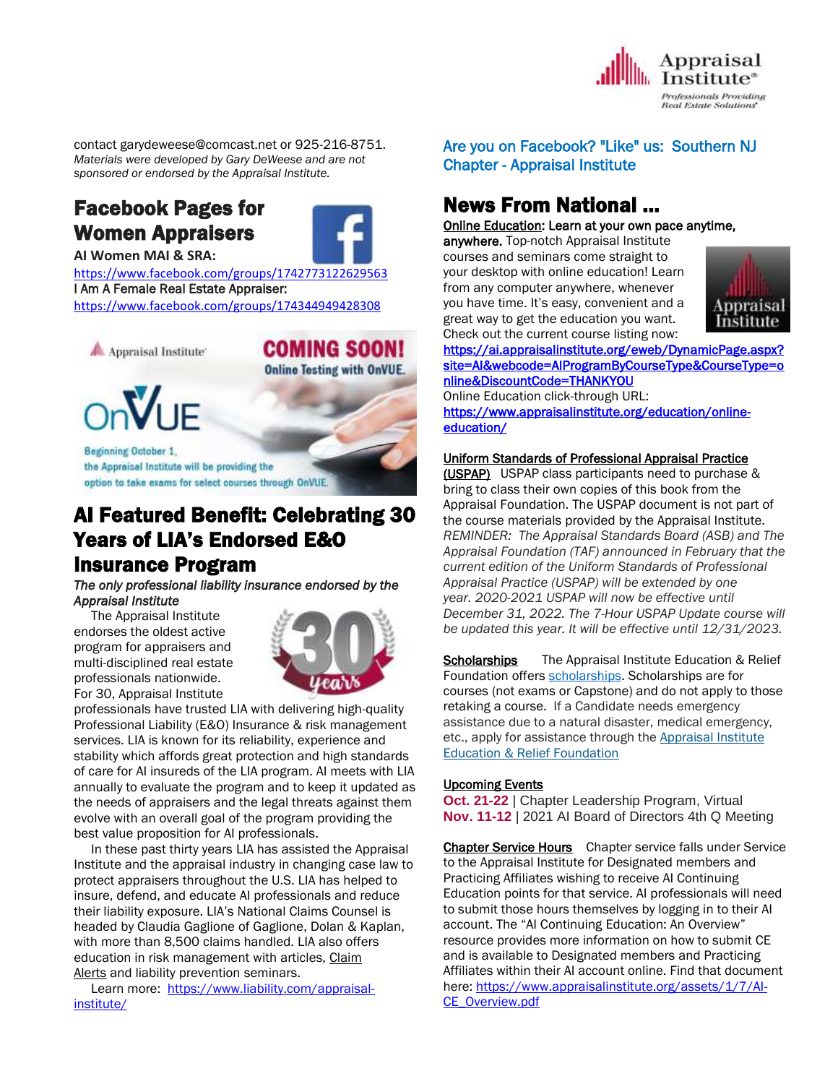

contact garydeweese@comcast.net or 925-216-8751. *Materials were developed by Gary DeWeese and are not sponsored or endorsed by the Appraisal Institute.*

## Facebook Pages for Women Appraisers



**AI Women MAI & SRA:** 

<https://www.facebook.com/groups/1742773122629563> I Am A Female Real Estate Appraiser: <https://www.facebook.com/groups/174344949428308>



**COMING SOON! Online Testing with OnVUE.** 



Beginning October 1, the Appraisal Institute will be providing the option to take exams for select courses through OnVUE.

## AI Featured Benefit: Celebrating 30 Years of LIA's Endorsed E&O Insurance Program

*The only professional liability insurance endorsed by the Appraisal Institute* 

 The Appraisal Institute endorses the oldest active program for appraisers and multi-disciplined real estate professionals nationwide. For 30, Appraisal Institute



professionals have trusted LIA with delivering high-quality Professional Liability (E&O) Insurance & risk management services. LIA is known for its reliability, experience and stability which affords great protection and high standards of care for AI insureds of the LIA program. AI meets with LIA annually to evaluate the program and to keep it updated as the needs of appraisers and the legal threats against them evolve with an overall goal of the program providing the best value proposition for AI professionals.

 In these past thirty years LIA has assisted the Appraisal Institute and the appraisal industry in changing case law to protect appraisers throughout the U.S. LIA has helped to insure, defend, and educate AI professionals and reduce their liability exposure. LIA's National Claims Counsel is headed by Claudia Gaglione of Gaglione, Dolan & Kaplan, with more than 8,500 claims handled. LIA also offers education in risk management with articles, [Claim](http://send.appraisalinstitute.org/link.cfm?r=vwtD93oHHyUAMd-FHE_JHA~~&pe=vqtDhQQ0h5r8-6nH0hGrFNgtUfFc94Zv9X7-iAPFTml-7U0ywFk4WNgkSkM762gs7puiV8uKfNOLkzxpI-RV3g~~&t=DGWz3WM5gQ--UpFxrYZAPw~~) [Alerts](http://send.appraisalinstitute.org/link.cfm?r=vwtD93oHHyUAMd-FHE_JHA~~&pe=vqtDhQQ0h5r8-6nH0hGrFNgtUfFc94Zv9X7-iAPFTml-7U0ywFk4WNgkSkM762gs7puiV8uKfNOLkzxpI-RV3g~~&t=DGWz3WM5gQ--UpFxrYZAPw~~) and liability prevention seminars.

 Learn more: [https://www.liability.com/appraisal](https://www.liability.com/appraisal-institute/)[institute/](https://www.liability.com/appraisal-institute/)

## Are you on Facebook? "Like" us: Southern NJ Chapter - Appraisal Institute

# News From National …

[Online Education:](http://www.mmsend50.com/ls.cfm?r=99596491&sid=8974475&m=957997&u=Appraise&s=http://www.appraisalinstitute.org/online) Learn at your own pace anytime,

anywhere. Top-notch Appraisal Institute courses and seminars come straight to your desktop with online education! Learn from any computer anywhere, whenever you have time. It's easy, convenient and a great way to get the education you want. Check out the current course listing now:



[https://ai.appraisalinstitute.org/eweb/DynamicPage.aspx?](https://ai.appraisalinstitute.org/eweb/DynamicPage.aspx?site=AI&webcode=AIProgramByCourseType&CourseType=online&DiscountCode=THANKYOU) [site=AI&webcode=AIProgramByCourseType&CourseType=o](https://ai.appraisalinstitute.org/eweb/DynamicPage.aspx?site=AI&webcode=AIProgramByCourseType&CourseType=online&DiscountCode=THANKYOU) [nline&DiscountCode=THANKYOU](https://ai.appraisalinstitute.org/eweb/DynamicPage.aspx?site=AI&webcode=AIProgramByCourseType&CourseType=online&DiscountCode=THANKYOU) 

Online Education click-through URL: [https://www.appraisalinstitute.org/education/online](https://www.appraisalinstitute.org/education/online-education/)[education/](https://www.appraisalinstitute.org/education/online-education/) 

## Uniform Standards of Professional Appraisal Practice

(USPAP) USPAP class participants need to purchase & bring to class their own copies of this book from the Appraisal Foundation. The USPAP document is not part of the course materials provided by the Appraisal Institute. *REMINDER: The Appraisal Standards Board (ASB) and The Appraisal Foundation (TAF) announced in February that the current edition of the Uniform Standards of Professional Appraisal Practice (USPAP) will be extended by one year. 2020-2021 USPAP will now be effective until December 31, 2022. The 7-Hour USPAP Update course will be updated this year. It will be effective until 12/31/2023.*

Scholarships The Appraisal Institute Education & Relief Foundation offers [scholarships.](http://send.appraisalinstitute.org/link.cfm?r=TyxXOooBFM-9kcaVyjABIA~~&pe=k_y06NsR9-tB3atEDYdXWLTTqBM_H3aeIPclU_7mx0sd29sU_T_sOiJTIa3747wAJXWGK_wLmsw-M82swC-Ijw~~&t=jouIQRRPlOfDkLqJe5AmNA~~) Scholarships are for courses (not exams or Capstone) and do not apply to those retaking a course. If a Candidate needs emergency assistance due to a natural disaster, medical emergency, etc., apply for assistance through the Appraisal Institute Education & Relief Foundation

## Upcoming Events

**Oct. 21-22** | Chapter Leadership Program, Virtual **Nov. 11-12** | 2021 AI Board of Directors 4th Q Meeting

Chapter Service Hours Chapter service falls under Service to the Appraisal Institute for Designated members and Practicing Affiliates wishing to receive AI Continuing Education points for that service. AI professionals will need to submit those hours themselves by logging in to their AI account. The "AI Continuing Education: An Overview" resource provides more information on how to submit CE and is available to Designated members and Practicing Affiliates within their AI account online. Find that document here: https://www.appraisalinstitute.org/assets/1/7/Al-[CE\\_Overview.pdf](https://www.appraisalinstitute.org/assets/1/7/AI-CE_Overview.pdf)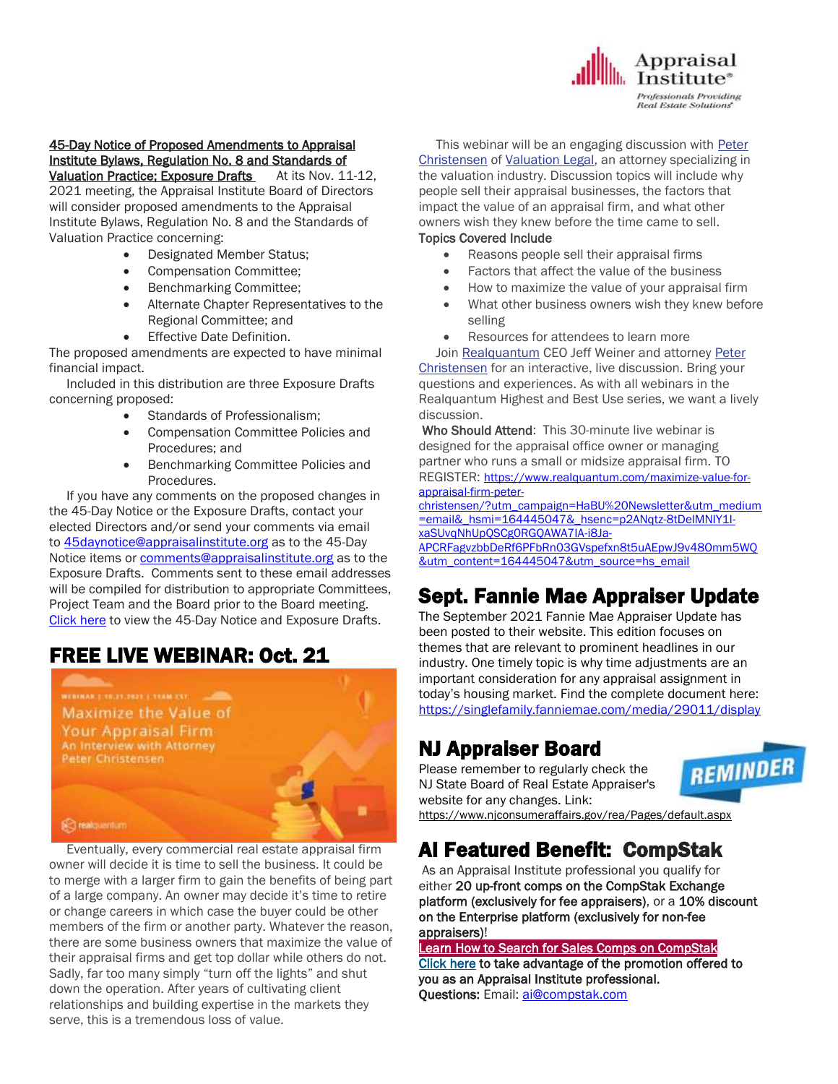

#### 45-Day Notice of Proposed Amendments to Appraisal Institute Bylaws, Regulation No. 8 and Standards of Valuation Practice: Exposure Drafts At its Nov. 11-12,

2021 meeting, the Appraisal Institute Board of Directors will consider proposed amendments to the Appraisal Institute Bylaws, Regulation No. 8 and the Standards of Valuation Practice concerning:

- Designated Member Status;
- Compensation Committee;
- Benchmarking Committee;
- Alternate Chapter Representatives to the Regional Committee; and
- Effective Date Definition.

The proposed amendments are expected to have minimal financial impact.

 Included in this distribution are three Exposure Drafts concerning proposed:

- Standards of Professionalism;
- Compensation Committee Policies and Procedures; and
- Benchmarking Committee Policies and Procedures.

 If you have any comments on the proposed changes in the 45-Day Notice or the Exposure Drafts, contact your elected Directors and/or send your comments via email to [45daynotice@appraisalinstitute.org](mailto:45daynotice@appraisalinstitute.org) as to the 45-Day Notice items or [comments@appraisalinstitute.org](mailto:comments@appraisalinstitute.org) as to the Exposure Drafts. Comments sent to these email addresses will be compiled for distribution to appropriate Committees, Project Team and the Board prior to the Board meeting. [Click](https://na01.safelinks.protection.outlook.com/?url=http%3A%2F%2Fsend.appraisalinstitute.org%2Flink.cfm%3Fr%3DvwtD93oHHyUAMd-FHE_JHA~~%26pe%3Dut0kODvnPKGvWL02NrOOxQTXwLHwaHBBBF1atK5WyaXWHblaN1w9OFcqe2zOQjr5uXdV8H9J1kZxfo-aZ_Cd6w~~%26t%3DJRM2YqM2YHLOZ9iN9GMiRw~~&data=04%7C01%7C%7Cf23996a43ab44be0a01b08d98201fa53%7C84df9e7fe9f640afb435aaaaaaaaaaaa%7C1%7C0%7C637683767271115152%7CUnknown%7CTWFpbGZsb3d8eyJWIjoiMC4wLjAwMDAiLCJQIjoiV2luMzIiLCJBTiI6Ik1haWwiLCJXVCI6Mn0%3D%7C1000&sdata=5O7WxS4J%2FiwHPy34Q25%2BVbxiJUlSxCcBebT4n8TzN90%3D&reserved=0) here to view the 45-Day Notice and Exposure Drafts.

# FREE LIVE WEBINAR: Oct. 21



 Eventually, every commercial real estate appraisal firm owner will decide it is time to sell the business. It could be to merge with a larger firm to gain the benefits of being part of a large company. An owner may decide it's time to retire or change careers in which case the buyer could be other members of the firm or another party. Whatever the reason, there are some business owners that maximize the value of their appraisal firms and get top dollar while others do not. Sadly, far too many simply "turn off the lights" and shut down the operation. After years of cultivating client relationships and building expertise in the markets they serve, this is a tremendous loss of value.

 This webinar will be an engaging discussion with [Peter](https://www.valuationlegal.com/about-us/)  [Christensen](https://www.valuationlegal.com/about-us/) of [Valuation Legal,](https://www.valuationlegal.com/) an attorney specializing in the valuation industry. Discussion topics will include why people sell their appraisal businesses, the factors that impact the value of an appraisal firm, and what other owners wish they knew before the time came to sell.

#### Topics Covered Include

- Reasons people sell their appraisal firms
- Factors that affect the value of the business
- How to maximize the value of your appraisal firm
- What other business owners wish they knew before selling
- Resources for attendees to learn more

Join [Realquantum](https://www.realquantum.com/) CEO Jeff Weiner and attorney Peter [Christensen](https://www.valuationlegal.com/) for an interactive, live discussion. Bring your questions and experiences. As with all webinars in the Realquantum Highest and Best Use series, we want a lively discussion.

Who Should Attend: This 30-minute live webinar is designed for the appraisal office owner or managing partner who runs a small or midsize appraisal firm. TO REGISTER: [https://www.realquantum.com/maximize-value-for](https://www.realquantum.com/maximize-value-for-appraisal-firm-peter-christensen/?utm_campaign=HaBU%20Newsletter&utm_medium=email&_hsmi=164445047&_hsenc=p2ANqtz-8tDelMNIY1I-xaSUvqNhUpQSCg0RGQAWA7IA-i8Ja-APCRFagvzbbDeRf6PFbRn03GVspefxn8t5uAEpwJ9v48Omm5WQ&utm_content=164445047&utm_source=hs_email)[appraisal-firm-peter-](https://www.realquantum.com/maximize-value-for-appraisal-firm-peter-christensen/?utm_campaign=HaBU%20Newsletter&utm_medium=email&_hsmi=164445047&_hsenc=p2ANqtz-8tDelMNIY1I-xaSUvqNhUpQSCg0RGQAWA7IA-i8Ja-APCRFagvzbbDeRf6PFbRn03GVspefxn8t5uAEpwJ9v48Omm5WQ&utm_content=164445047&utm_source=hs_email)

[christensen/?utm\\_campaign=HaBU%20Newsletter&utm\\_medium](https://www.realquantum.com/maximize-value-for-appraisal-firm-peter-christensen/?utm_campaign=HaBU%20Newsletter&utm_medium=email&_hsmi=164445047&_hsenc=p2ANqtz-8tDelMNIY1I-xaSUvqNhUpQSCg0RGQAWA7IA-i8Ja-APCRFagvzbbDeRf6PFbRn03GVspefxn8t5uAEpwJ9v48Omm5WQ&utm_content=164445047&utm_source=hs_email) [=email&\\_hsmi=164445047&\\_hsenc=p2ANqtz-8tDelMNIY1I](https://www.realquantum.com/maximize-value-for-appraisal-firm-peter-christensen/?utm_campaign=HaBU%20Newsletter&utm_medium=email&_hsmi=164445047&_hsenc=p2ANqtz-8tDelMNIY1I-xaSUvqNhUpQSCg0RGQAWA7IA-i8Ja-APCRFagvzbbDeRf6PFbRn03GVspefxn8t5uAEpwJ9v48Omm5WQ&utm_content=164445047&utm_source=hs_email)[xaSUvqNhUpQSCg0RGQAWA7IA-i8Ja-](https://www.realquantum.com/maximize-value-for-appraisal-firm-peter-christensen/?utm_campaign=HaBU%20Newsletter&utm_medium=email&_hsmi=164445047&_hsenc=p2ANqtz-8tDelMNIY1I-xaSUvqNhUpQSCg0RGQAWA7IA-i8Ja-APCRFagvzbbDeRf6PFbRn03GVspefxn8t5uAEpwJ9v48Omm5WQ&utm_content=164445047&utm_source=hs_email)

[APCRFagvzbbDeRf6PFbRn03GVspefxn8t5uAEpwJ9v48Omm5WQ](https://www.realquantum.com/maximize-value-for-appraisal-firm-peter-christensen/?utm_campaign=HaBU%20Newsletter&utm_medium=email&_hsmi=164445047&_hsenc=p2ANqtz-8tDelMNIY1I-xaSUvqNhUpQSCg0RGQAWA7IA-i8Ja-APCRFagvzbbDeRf6PFbRn03GVspefxn8t5uAEpwJ9v48Omm5WQ&utm_content=164445047&utm_source=hs_email) [&utm\\_content=164445047&utm\\_source=hs\\_email](https://www.realquantum.com/maximize-value-for-appraisal-firm-peter-christensen/?utm_campaign=HaBU%20Newsletter&utm_medium=email&_hsmi=164445047&_hsenc=p2ANqtz-8tDelMNIY1I-xaSUvqNhUpQSCg0RGQAWA7IA-i8Ja-APCRFagvzbbDeRf6PFbRn03GVspefxn8t5uAEpwJ9v48Omm5WQ&utm_content=164445047&utm_source=hs_email)

# Sept. Fannie Mae Appraiser Update

The September 2021 Fannie Mae Appraiser Update has been posted to their website. This edition focuses on themes that are relevant to prominent headlines in our industry. One timely topic is why time adjustments are an important consideration for any appraisal assignment in today's housing market. Find the complete document here: <https://singlefamily.fanniemae.com/media/29011/display>

# NJ Appraiser Board

Please remember to regularly check the NJ State Board of Real Estate Appraiser's website for any changes. Link:



<https://www.njconsumeraffairs.gov/rea/Pages/default.aspx>

# AI Featured Benefit: CompStak

As an Appraisal Institute professional you qualify for either 20 up-front comps on the CompStak Exchange platform (exclusively for fee appraisers), or a 10% discount on the Enterprise platform (exclusively for non-fee appraisers)!

[Learn How to Search for Sales Comps on CompStak](http://send.appraisalinstitute.org/link.cfm?r=vwtD93oHHyUAMd-FHE_JHA~~&pe=oHa0BO31PLbPU1xiWyBebdXa3bnKU93I6jU7jgtcMNp7Ni6BGzU3nbQvKSeLA4QxVboihMVFmyVrd8Hm0zshLQ~~&t=-Q4qDgf9h2lth2a58Z5LGQ~~)

[Click here](http://send.appraisalinstitute.org/link.cfm?r=vwtD93oHHyUAMd-FHE_JHA~~&pe=9OhkSj1xPhkLNxZhKNyw0cWhSgUvp22zIwc13Bu42eHtr1mNYsdMxLoCFS0xfthe6K_oJOqu1sr-0_nZryuzdw~~&t=-Q4qDgf9h2lth2a58Z5LGQ~~) to take advantage of the promotion offered to you as an Appraisal Institute professional. Questions: Email: [ai@compstak.com](mailto:ai@compstak.com)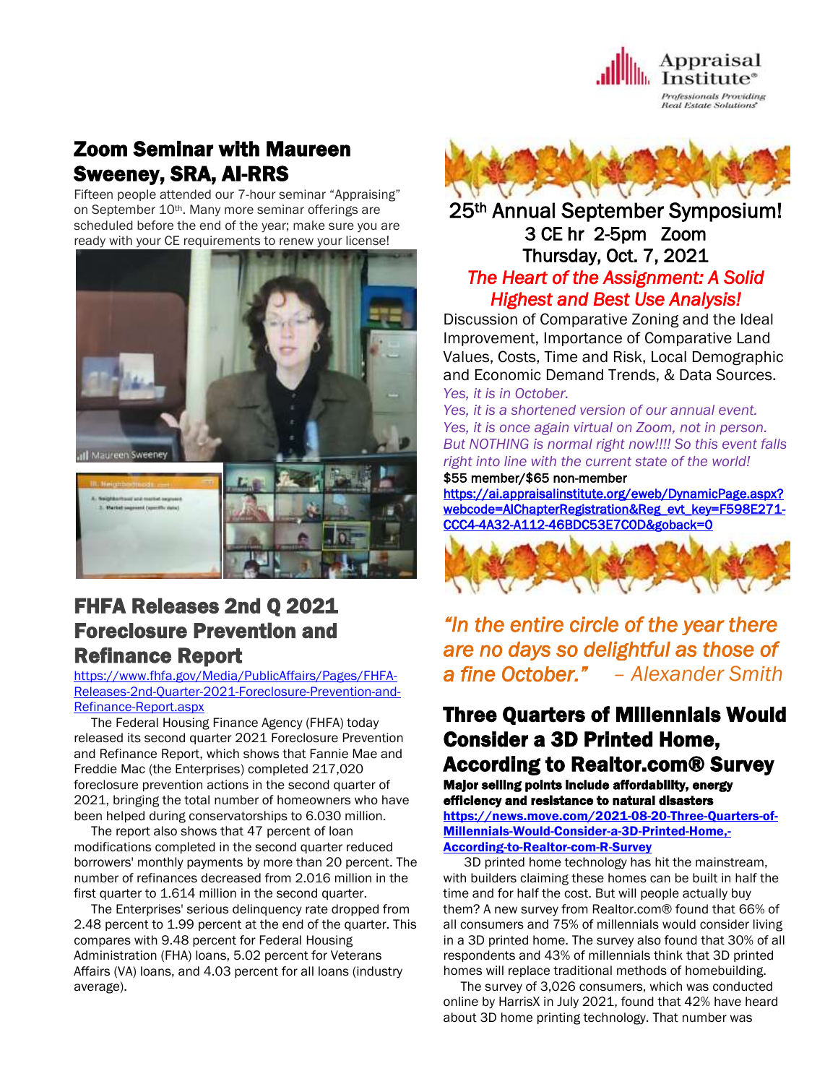

## Zoom Seminar with Maureen Sweeney, SRA, AI-RRS

Fifteen people attended our 7-hour seminar "Appraising" on September 10th. Many more seminar offerings are scheduled before the end of the year; make sure you are ready with your CE requirements to renew your license!



## FHFA Releases 2nd Q 2021 Foreclosure Prevention and Refinance Report

[https://www.fhfa.gov/Media/PublicAffairs/Pages/FHFA-](https://www.fhfa.gov/Media/PublicAffairs/Pages/FHFA-Releases-2nd-Quarter-2021-Foreclosure-Prevention-and-Refinance-Report.aspx)[Releases-2nd-Quarter-2021-Foreclosure-Prevention-and-](https://www.fhfa.gov/Media/PublicAffairs/Pages/FHFA-Releases-2nd-Quarter-2021-Foreclosure-Prevention-and-Refinance-Report.aspx)[Refinance-Report.aspx](https://www.fhfa.gov/Media/PublicAffairs/Pages/FHFA-Releases-2nd-Quarter-2021-Foreclosure-Prevention-and-Refinance-Report.aspx)

 The Federal Housing Finance Agency (FHFA) today released its second quarter 2021 [Foreclosure](https://www.fhfa.gov/AboutUs/Reports/ReportDocuments/FPR_2Q2021.pdf) Prevention and [Refinance](https://www.fhfa.gov/AboutUs/Reports/ReportDocuments/FPR_2Q2021.pdf) Report, which shows that Fannie Mae and Freddie Mac (the Enterprises) completed 217,020 foreclosure prevention actions in the second quarter of 2021, bringing the total number of homeowners who have been helped during conservatorships to 6.030 million.

 The report also shows that 47 percent of loan modifications completed in the second quarter reduced borrowers' monthly payments by more than 20 percent. The number of refinances decreased from 2.016 million in the first quarter to 1.614 million in the second quarter.

 The Enterprises' serious delinquency rate dropped from 2.48 percent to 1.99 percent at the end of the quarter. This compares with 9.48 percent for Federal Housing Administration (FHA) loans, 5.02 percent for Veterans Affairs (VA) loans, and 4.03 percent for all loans (industry average).



## 25th Annual September Symposium! 3 CE hr 2-5pm Zoom Thursday, Oct. 7, 2021 *The Heart of the Assignment: A Solid Highest and Best Use Analysis!*

Discussion of Comparative Zoning and the Ideal Improvement, Importance of Comparative Land Values, Costs, Time and Risk, Local Demographic and Economic Demand Trends, & Data Sources. *Yes, it is in October.*

*Yes, it is a shortened version of our annual event. Yes, it is once again virtual on Zoom, not in person. But NOTHING is normal right now!!!! So this event falls right into line with the current state of the world!*

\$55 member/\$65 non-member

[https://ai.appraisalinstitute.org/eweb/DynamicPage.aspx?](https://ai.appraisalinstitute.org/eweb/DynamicPage.aspx?webcode=AIChapterRegistration&Reg_evt_key=F598E271-CCC4-4A32-A112-46BDC53E7C0D&goback=0) [webcode=AIChapterRegistration&Reg\\_evt\\_key=F598E271-](https://ai.appraisalinstitute.org/eweb/DynamicPage.aspx?webcode=AIChapterRegistration&Reg_evt_key=F598E271-CCC4-4A32-A112-46BDC53E7C0D&goback=0) [CCC4-4A32-A112-46BDC53E7C0D&goback=0](https://ai.appraisalinstitute.org/eweb/DynamicPage.aspx?webcode=AIChapterRegistration&Reg_evt_key=F598E271-CCC4-4A32-A112-46BDC53E7C0D&goback=0) 



*"In the entire circle of the year there are no days so delightful as those of a fine October." – Alexander Smith* 

## Three Quarters of Millennials Would Consider a 3D Printed Home, According to Realtor.com® Survey

Major selling points include affordability, energy efficiency and resistance to natural disasters [https://news.move.com/2021-08-20-Three-Quarters-of-](https://news.move.com/2021-08-20-Three-Quarters-of-Millennials-Would-Consider-a-3D-Printed-Home,-According-to-Realtor-com-R-Survey)[Millennials-Would-Consider-a-3D-Printed-Home,-](https://news.move.com/2021-08-20-Three-Quarters-of-Millennials-Would-Consider-a-3D-Printed-Home,-According-to-Realtor-com-R-Survey) [According-to-Realtor-com-R-Survey](https://news.move.com/2021-08-20-Three-Quarters-of-Millennials-Would-Consider-a-3D-Printed-Home,-According-to-Realtor-com-R-Survey)

 3D printed home technology has hit the mainstream, with builders claiming these homes can be built in half the time and for half the cost. But will people actually buy them? A new survey from Realtor.com® found that 66% of all consumers and 75% of millennials would consider living in a 3D printed home. The survey also found that 30% of all respondents and 43% of millennials think that 3D printed homes will replace traditional methods of homebuilding.

 The survey of 3,026 consumers, which was conducted online by HarrisX in July 2021, found that 42% have heard about 3D home printing technology. That number was